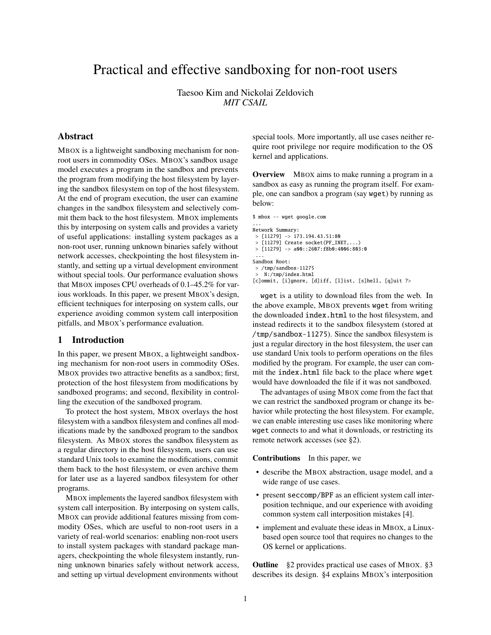# Practical and effective sandboxing for non-root users

Taesoo Kim and Nickolai Zeldovich *MIT CSAIL*

# Abstract

MBOX is a lightweight sandboxing mechanism for nonroot users in commodity OSes. MBOX's sandbox usage model executes a program in the sandbox and prevents the program from modifying the host filesystem by layering the sandbox filesystem on top of the host filesystem. At the end of program execution, the user can examine changes in the sandbox filesystem and selectively commit them back to the host filesystem. MBOX implements this by interposing on system calls and provides a variety of useful applications: installing system packages as a non-root user, running unknown binaries safely without network accesses, checkpointing the host filesystem instantly, and setting up a virtual development environment without special tools. Our performance evaluation shows that MBOX imposes CPU overheads of 0.1–45.2% for various workloads. In this paper, we present MBOX's design, efficient techniques for interposing on system calls, our experience avoiding common system call interposition pitfalls, and MBOX's performance evaluation.

#### 1 Introduction

In this paper, we present MBOX, a lightweight sandboxing mechanism for non-root users in commodity OSes. MBOX provides two attractive benefits as a sandbox; first, protection of the host filesystem from modifications by sandboxed programs; and second, flexibility in controlling the execution of the sandboxed program.

To protect the host system, MBOX overlays the host filesystem with a sandbox filesystem and confines all modifications made by the sandboxed program to the sandbox filesystem. As MBOX stores the sandbox filesystem as a regular directory in the host filesystem, users can use standard Unix tools to examine the modifications, commit them back to the host filesystem, or even archive them for later use as a layered sandbox filesystem for other programs.

MBOX implements the layered sandbox filesystem with system call interposition. By interposing on system calls, MBOX can provide additional features missing from commodity OSes, which are useful to non-root users in a variety of real-world scenarios: enabling non-root users to install system packages with standard package managers, checkpointing the whole filesystem instantly, running unknown binaries safely without network access, and setting up virtual development environments without

special tools. More importantly, all use cases neither require root privilege nor require modification to the OS kernel and applications.

<span id="page-0-0"></span>**Overview** MBOX aims to make running a program in a sandbox as easy as running the program itself. For example, one can sandbox a program (say wget) by running as below:

```
$ mbox -- wget google.com
...
Network Summary:
> [11279] \rightarrow 173.194.43.51:80
 > [11279] Create socket(PF_INET,...)
> [11279] \rightarrow a00::2607:f8b0:4006:803:0
 ...
Sandbox Root:
> /tmp/sandbox-11275
```
> N:/tmp/index.html [c]ommit, [i]gnore, [d]iff, [l]ist, [s]hell, [q]uit ?>

wget is a utility to download files from the web. In the above example, MBOX prevents wget from writing the downloaded index.html to the host filesystem, and instead redirects it to the sandbox filesystem (stored at /tmp/sandbox-11275). Since the sandbox filesystem is just a regular directory in the host filesystem, the user can use standard Unix tools to perform operations on the files modified by the program. For example, the user can commit the index.html file back to the place where wget would have downloaded the file if it was not sandboxed.

The advantages of using MBOX come from the fact that we can restrict the sandboxed program or change its behavior while protecting the host filesystem. For example, we can enable interesting use cases like monitoring where wget connects to and what it downloads, or restricting its remote network accesses (see [§2\)](#page-1-0).

Contributions In this paper, we

- describe the MBOX abstraction, usage model, and a wide range of use cases.
- present seccomp/BPF as an efficient system call interposition technique, and our experience with avoiding common system call interposition mistakes [\[4\]](#page-5-0).
- implement and evaluate these ideas in MBOX, a Linuxbased open source tool that requires no changes to the OS kernel or applications.

**Outline** [§2](#page-1-0) provides practical use cases of MBOX. [§3](#page-2-0) describes its design. [§4](#page-2-1) explains MBOX's interposition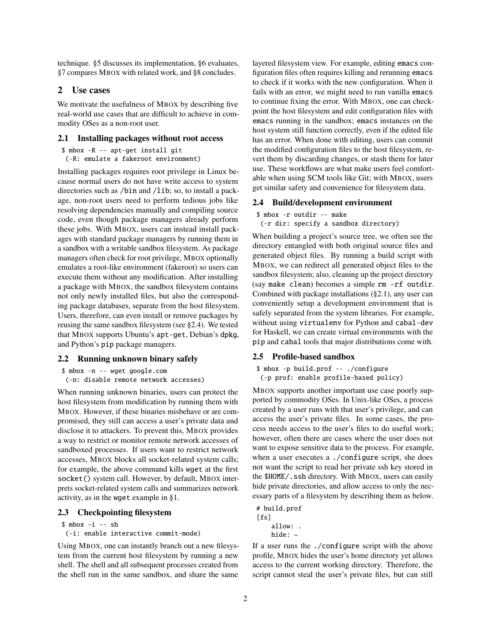technique. [§5](#page-4-0) discusses its implementation, [§6](#page-4-1) evaluates, [§7](#page-4-2) compares MBOX with related work, and [§8](#page-5-1) concludes.

#### <span id="page-1-0"></span>2 Use cases

We motivate the usefulness of MBOX by describing five real-world use cases that are difficult to achieve in commodity OSes as a non-root user.

#### <span id="page-1-2"></span>2.1 Installing packages without root access

```
$ mbox -R -- apt-get install git
 (-R: emulate a fakeroot environment)
```
Installing packages requires root privilege in Linux because normal users do not have write access to system directories such as /bin and /lib; so, to install a package, non-root users need to perform tedious jobs like resolving dependencies manually and compiling source code, even though package managers already perform these jobs. With MBOX, users can instead install packages with standard package managers by running them in a sandbox with a writable sandbox filesystem. As package managers often check for root privilege, MBOX optionally emulates a root-like environment (fakeroot) so users can execute them without any modification. After installing a package with MBOX, the sandbox filesystem contains not only newly installed files, but also the corresponding package databases, separate from the host filesystem. Users, therefore, can even install or remove packages by reusing the same sandbox filesystem (see [§2.4\)](#page-1-1). We tested that MBOX supports Ubuntu's apt-get, Debian's dpkg, and Python's pip package managers.

#### <span id="page-1-3"></span>2.2 Running unknown binary safely

```
$ mbox -n -- wget google.com
 (-n: disable remote network accesses)
```
When running unknown binaries, users can protect the host filesystem from modification by running them with MBOX. However, if these binaries misbehave or are compromised, they still can access a user's private data and disclose it to attackers. To prevent this, MBOX provides a way to restrict or monitor remote network accesses of sandboxed processes. If users want to restrict network accesses, MBOX blocks all socket-related system calls; for example, the above command kills wget at the first socket() system call. However, by default, MBOX interprets socket-related system calls and summarizes network activity, as in the wget example in [§1.](#page-0-0)

#### 2.3 Checkpointing filesystem

 $$ mbox -i -- sh$ 

(-i: enable interactive commit-mode)

Using MBOX, one can instantly branch out a new filesystem from the current host filesystem by running a new shell. The shell and all subsequent processes created from the shell run in the same sandbox, and share the same

layered filesystem view. For example, editing emacs configuration files often requires killing and rerunning emacs to check if it works with the new configuration. When it fails with an error, we might need to run vanilla emacs to continue fixing the error. With MBOX, one can checkpoint the host filesystem and edit configuration files with emacs running in the sandbox; emacs instances on the host system still function correctly, even if the edited file has an error. When done with editing, users can commit the modified configuration files to the host filesystem, revert them by discarding changes, or stash them for later use. These workflows are what make users feel comfortable when using SCM tools like Git; with MBOX, users get similar safety and convenience for filesystem data.

#### <span id="page-1-1"></span>2.4 Build/development environment

```
$ mbox -r outdir -- make
```
(-r dir: specify a sandbox directory)

When building a project's source tree, we often see the directory entangled with both original source files and generated object files. By running a build script with MBOX, we can redirect all generated object files to the sandbox filesystem; also, cleaning up the project directory (say make clean) becomes a simple rm -rf outdir. Combined with package installations ([§2.1\)](#page-1-2), any user can conveniently setup a development environment that is safely separated from the system libraries. For example, without using virtualenv for Python and cabal-dev for Haskell, we can create virtual environments with the pip and cabal tools that major distributions come with.

#### 2.5 Profile-based sandbox

```
$ mbox -p build.prof -- ./configure
(-p prof: enable profile-based policy)
```
MBOX supports another important use case poorly supported by commodity OSes. In Unix-like OSes, a process created by a user runs with that user's privilege, and can access the user's private files. In some cases, the process needs access to the user's files to do useful work; however, often there are cases where the user does not want to expose sensitive data to the process. For example, when a user executes a ./configure script, she does not want the script to read her private ssh key stored in the \$HOME/.ssh directory. With MBOX, users can easily hide private directories, and allow access to only the necessary parts of a filesystem by describing them as below.

# build.prof  $[fs]$ allow: . hide: ~

If a user runs the ./configure script with the above profile, MBOX hides the user's home directory yet allows access to the current working directory. Therefore, the script cannot steal the user's private files, but can still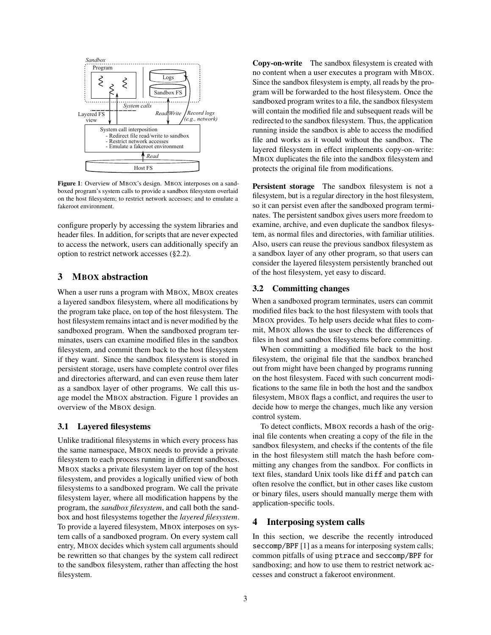

<span id="page-2-2"></span>Figure 1: Overview of MBOX's design. MBOX interposes on a sandboxed program's system calls to provide a sandbox filesystem overlaid on the host filesystem; to restrict network accesses; and to emulate a fakeroot environment.

configure properly by accessing the system libraries and header files. In addition, for scripts that are never expected to access the network, users can additionally specify an option to restrict network accesses ([§2.2\)](#page-1-3).

### <span id="page-2-0"></span>3 MBOX abstraction

When a user runs a program with MBOX, MBOX creates a layered sandbox filesystem, where all modifications by the program take place, on top of the host filesystem. The host filesystem remains intact and is never modified by the sandboxed program. When the sandboxed program terminates, users can examine modified files in the sandbox filesystem, and commit them back to the host filesystem if they want. Since the sandbox filesystem is stored in persistent storage, users have complete control over files and directories afterward, and can even reuse them later as a sandbox layer of other programs. We call this usage model the MBOX abstraction. [Figure 1](#page-2-2) provides an overview of the MBOX design.

#### 3.1 Layered filesystems

Unlike traditional filesystems in which every process has the same namespace, MBOX needs to provide a private filesystem to each process running in different sandboxes. MBOX stacks a private filesystem layer on top of the host filesystem, and provides a logically unified view of both filesystems to a sandboxed program. We call the private filesystem layer, where all modification happens by the program, the *sandbox filesystem*, and call both the sandbox and host filesystems together the *layered filesystem*. To provide a layered filesystem, MBOX interposes on system calls of a sandboxed program. On every system call entry, MBOX decides which system call arguments should be rewritten so that changes by the system call redirect to the sandbox filesystem, rather than affecting the host filesystem.

Copy-on-write The sandbox filesystem is created with no content when a user executes a program with MBOX. Since the sandbox filesystem is empty, all reads by the program will be forwarded to the host filesystem. Once the sandboxed program writes to a file, the sandbox filesystem will contain the modified file and subsequent reads will be redirected to the sandbox filesystem. Thus, the application running inside the sandbox is able to access the modified file and works as it would without the sandbox. The layered filesystem in effect implements copy-on-write: MBOX duplicates the file into the sandbox filesystem and protects the original file from modifications.

Persistent storage The sandbox filesystem is not a filesystem, but is a regular directory in the host filesystem, so it can persist even after the sandboxed program terminates. The persistent sandbox gives users more freedom to examine, archive, and even duplicate the sandbox filesystem, as normal files and directories, with familiar utilities. Also, users can reuse the previous sandbox filesystem as a sandbox layer of any other program, so that users can consider the layered filesystem persistently branched out of the host filesystem, yet easy to discard.

#### 3.2 Committing changes

When a sandboxed program terminates, users can commit modified files back to the host filesystem with tools that MBOX provides. To help users decide what files to commit, MBOX allows the user to check the differences of files in host and sandbox filesystems before committing.

When committing a modified file back to the host filesystem, the original file that the sandbox branched out from might have been changed by programs running on the host filesystem. Faced with such concurrent modifications to the same file in both the host and the sandbox filesystem, MBOX flags a conflict, and requires the user to decide how to merge the changes, much like any version control system.

To detect conflicts, MBOX records a hash of the original file contents when creating a copy of the file in the sandbox filesystem, and checks if the contents of the file in the host filesystem still match the hash before committing any changes from the sandbox. For conflicts in text files, standard Unix tools like diff and patch can often resolve the conflict, but in other cases like custom or binary files, users should manually merge them with application-specific tools.

### <span id="page-2-1"></span>4 Interposing system calls

In this section, we describe the recently introduced seccomp/BPF [\[1\]](#page-5-2) as a means for interposing system calls; common pitfalls of using ptrace and seccomp/BPF for sandboxing; and how to use them to restrict network accesses and construct a fakeroot environment.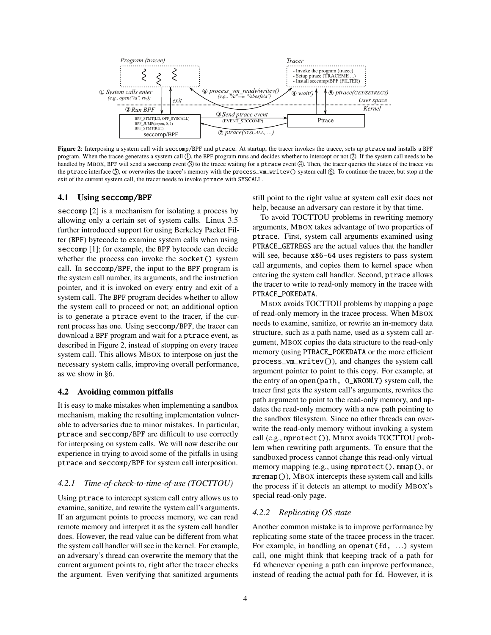

<span id="page-3-0"></span>Figure 2: Interposing a system call with seccomp/BPF and ptrace. At startup, the tracer invokes the tracee, sets up ptrace and installs a BPF program. When the tracee generates a system call  $\mathbb Q$ , the BPF program runs and decides whether to intercept or not  $\mathbb Q$ . If the system call needs to be handled by MBOX, BPF will send a seccomp event  $\circled{3}$  to the tracee waiting for a ptrace event  $\circled{4}$ . Then, the tracer queries the states of the tracee via the ptrace interface  $\circledS$ , or overwrites the tracee's memory with the process\_vm\_writev() system call  $\circledS$ . To continue the tracee, but stop at the exit of the current system call, the tracer needs to invoke ptrace with SYSCALL.

#### 4.1 Using seccomp/BPF

seccomp [\[2\]](#page-5-3) is a mechanism for isolating a process by allowing only a certain set of system calls. Linux 3.5 further introduced support for using Berkeley Packet Filter (BPF) bytecode to examine system calls when using seccomp [\[1\]](#page-5-2); for example, the BPF bytecode can decide whether the process can invoke the socket() system call. In seccomp/BPF, the input to the BPF program is the system call number, its arguments, and the instruction pointer, and it is invoked on every entry and exit of a system call. The BPF program decides whether to allow the system call to proceed or not; an additional option is to generate a ptrace event to the tracer, if the current process has one. Using seccomp/BPF, the tracer can download a BPF program and wait for a ptrace event, as described in [Figure 2,](#page-3-0) instead of stopping on every tracee system call. This allows MBOX to interpose on just the necessary system calls, improving overall performance, as we show in [§6.](#page-4-1)

#### 4.2 Avoiding common pitfalls

It is easy to make mistakes when implementing a sandbox mechanism, making the resulting implementation vulnerable to adversaries due to minor mistakes. In particular, ptrace and seccomp/BPF are difficult to use correctly for interposing on system calls. We will now describe our experience in trying to avoid some of the pitfalls in using ptrace and seccomp/BPF for system call interposition.

# *4.2.1 Time-of-check-to-time-of-use (TOCTTOU)*

Using ptrace to intercept system call entry allows us to examine, sanitize, and rewrite the system call's arguments. If an argument points to process memory, we can read remote memory and interpret it as the system call handler does. However, the read value can be different from what the system call handler will see in the kernel. For example, an adversary's thread can overwrite the memory that the current argument points to, right after the tracer checks the argument. Even verifying that sanitized arguments

still point to the right value at system call exit does not help, because an adversary can restore it by that time.

To avoid TOCTTOU problems in rewriting memory arguments, MBOX takes advantage of two properties of ptrace. First, system call arguments examined using PTRACE\_GETREGS are the actual values that the handler will see, because x86-64 uses registers to pass system call arguments, and copies them to kernel space when entering the system call handler. Second, ptrace allows the tracer to write to read-only memory in the tracee with PTRACE\_POKEDATA.

MBOX avoids TOCTTOU problems by mapping a page of read-only memory in the tracee process. When MBOX needs to examine, sanitize, or rewrite an in-memory data structure, such as a path name, used as a system call argument, MBOX copies the data structure to the read-only memory (using PTRACE\_POKEDATA or the more efficient process\_vm\_writev()), and changes the system call argument pointer to point to this copy. For example, at the entry of an open(path, O\_WRONLY) system call, the tracer first gets the system call's arguments, rewrites the path argument to point to the read-only memory, and updates the read-only memory with a new path pointing to the sandbox filesystem. Since no other threads can overwrite the read-only memory without invoking a system call (e.g., mprotect()), MBOX avoids TOCTTOU problem when rewriting path arguments. To ensure that the sandboxed process cannot change this read-only virtual memory mapping (e.g., using mprotect(), mmap(), or mremap()), MBOX intercepts these system call and kills the process if it detects an attempt to modify MBOX's special read-only page.

#### *4.2.2 Replicating OS state*

Another common mistake is to improve performance by replicating some state of the tracee process in the tracer. For example, in handling an openat(fd, ...) system call, one might think that keeping track of a path for fd whenever opening a path can improve performance, instead of reading the actual path for fd. However, it is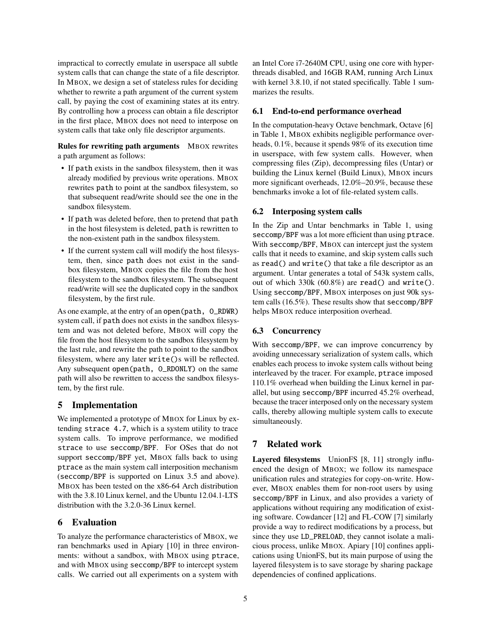impractical to correctly emulate in userspace all subtle system calls that can change the state of a file descriptor. In MBOX, we design a set of stateless rules for deciding whether to rewrite a path argument of the current system call, by paying the cost of examining states at its entry. By controlling how a process can obtain a file descriptor in the first place, MBOX does not need to interpose on system calls that take only file descriptor arguments.

Rules for rewriting path arguments MBOX rewrites a path argument as follows:

- If path exists in the sandbox filesystem, then it was already modified by previous write operations. MBOX rewrites path to point at the sandbox filesystem, so that subsequent read/write should see the one in the sandbox filesystem.
- If path was deleted before, then to pretend that path in the host filesystem is deleted, path is rewritten to the non-existent path in the sandbox filesystem.
- If the current system call will modify the host filesystem, then, since path does not exist in the sandbox filesystem, MBOX copies the file from the host filesystem to the sandbox filesystem. The subsequent read/write will see the duplicated copy in the sandbox filesystem, by the first rule.

As one example, at the entry of an open(path, O\_RDWR) system call, if path does not exists in the sandbox filesystem and was not deleted before, MBOX will copy the file from the host filesystem to the sandbox filesystem by the last rule, and rewrite the path to point to the sandbox filesystem, where any later write()s will be reflected. Any subsequent open(path, O\_RDONLY) on the same path will also be rewritten to access the sandbox filesystem, by the first rule.

# <span id="page-4-0"></span>5 Implementation

We implemented a prototype of MBOX for Linux by extending strace 4.7, which is a system utility to trace system calls. To improve performance, we modified strace to use seccomp/BPF. For OSes that do not support seccomp/BPF yet, MBOX falls back to using ptrace as the main system call interposition mechanism (seccomp/BPF is supported on Linux 3.5 and above). MBOX has been tested on the x86-64 Arch distribution with the 3.8.10 Linux kernel, and the Ubuntu 12.04.1-LTS distribution with the 3.2.0-36 Linux kernel.

# <span id="page-4-1"></span>6 Evaluation

To analyze the performance characteristics of MBOX, we ran benchmarks used in Apiary [\[10\]](#page-5-4) in three environments: without a sandbox, with MBOX using ptrace, and with MBOX using seccomp/BPF to intercept system calls. We carried out all experiments on a system with

an Intel Core i7-2640M CPU, using one core with hyperthreads disabled, and 16GB RAM, running Arch Linux with kernel 3.8.10, if not stated specifically. [Table 1](#page-5-5) summarizes the results.

### 6.1 End-to-end performance overhead

In the computation-heavy Octave benchmark, Octave [\[6\]](#page-5-6) in [Table 1,](#page-5-5) MBOX exhibits negligible performance overheads, 0.1%, because it spends 98% of its execution time in userspace, with few system calls. However, when compressing files (Zip), decompressing files (Untar) or building the Linux kernel (Build Linux), MBOX incurs more significant overheads, 12.0%–20.9%, because these benchmarks invoke a lot of file-related system calls.

# 6.2 Interposing system calls

In the Zip and Untar benchmarks in [Table 1,](#page-5-5) using seccomp/BPF was a lot more efficient than using ptrace. With seccomp/BPF, MBOX can intercept just the system calls that it needs to examine, and skip system calls such as read() and write() that take a file descriptor as an argument. Untar generates a total of 543k system calls, out of which 330k (60.8%) are read() and write(). Using seccomp/BPF, MBOX interposes on just 90k system calls (16.5%). These results show that seccomp/BPF helps MBOX reduce interposition overhead.

# 6.3 Concurrency

With seccomp/BPF, we can improve concurrency by avoiding unnecessary serialization of system calls, which enables each process to invoke system calls without being interleaved by the tracer. For example, ptrace imposed 110.1% overhead when building the Linux kernel in parallel, but using seccomp/BPF incurred 45.2% overhead, because the tracer interposed only on the necessary system calls, thereby allowing multiple system calls to execute simultaneously.

# <span id="page-4-2"></span>7 Related work

Layered filesystems UnionFS [\[8,](#page-5-7) [11\]](#page-5-8) strongly influenced the design of MBOX; we follow its namespace unification rules and strategies for copy-on-write. However, MBOX enables them for non-root users by using seccomp/BPF in Linux, and also provides a variety of applications without requiring any modification of existing software. Cowdancer [\[12\]](#page-5-9) and FL-COW [\[7\]](#page-5-10) similarly provide a way to redirect modifications by a process, but since they use LD\_PRELOAD, they cannot isolate a malicious process, unlike MBOX. Apiary [\[10\]](#page-5-4) confines applications using UnionFS, but its main purpose of using the layered filesystem is to save storage by sharing package dependencies of confined applications.